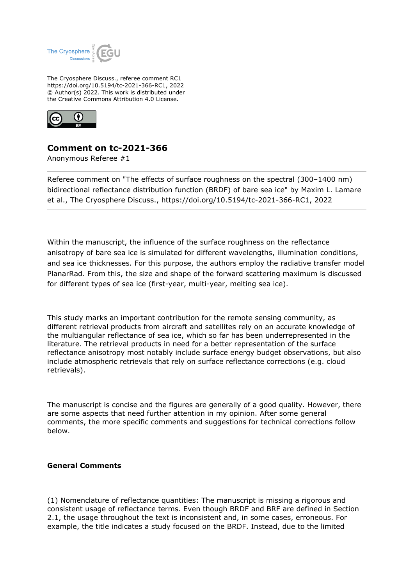

The Cryosphere Discuss., referee comment RC1 https://doi.org/10.5194/tc-2021-366-RC1, 2022 © Author(s) 2022. This work is distributed under the Creative Commons Attribution 4.0 License.



## **Comment on tc-2021-366**

Anonymous Referee #1

Referee comment on "The effects of surface roughness on the spectral (300–1400 nm) bidirectional reflectance distribution function (BRDF) of bare sea ice" by Maxim L. Lamare et al., The Cryosphere Discuss., https://doi.org/10.5194/tc-2021-366-RC1, 2022

Within the manuscript, the influence of the surface roughness on the reflectance anisotropy of bare sea ice is simulated for different wavelengths, illumination conditions, and sea ice thicknesses. For this purpose, the authors employ the radiative transfer model PlanarRad. From this, the size and shape of the forward scattering maximum is discussed for different types of sea ice (first-year, multi-year, melting sea ice).

This study marks an important contribution for the remote sensing community, as different retrieval products from aircraft and satellites rely on an accurate knowledge of the multiangular reflectance of sea ice, which so far has been underrepresented in the literature. The retrieval products in need for a better representation of the surface reflectance anisotropy most notably include surface energy budget observations, but also include atmospheric retrievals that rely on surface reflectance corrections (e.g. cloud retrievals).

The manuscript is concise and the figures are generally of a good quality. However, there are some aspects that need further attention in my opinion. After some general comments, the more specific comments and suggestions for technical corrections follow below.

## **General Comments**

(1) Nomenclature of reflectance quantities: The manuscript is missing a rigorous and consistent usage of reflectance terms. Even though BRDF and BRF are defined in Section 2.1, the usage throughout the text is inconsistent and, in some cases, erroneous. For example, the title indicates a study focused on the BRDF. Instead, due to the limited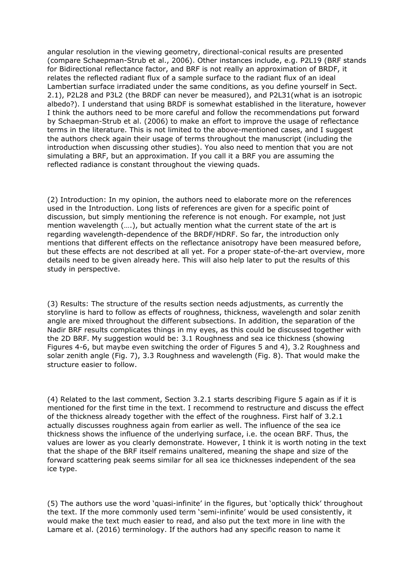angular resolution in the viewing geometry, directional-conical results are presented (compare Schaepman-Strub et al., 2006). Other instances include, e.g. P2L19 (BRF stands for Bidirectional reflectance factor, and BRF is not really an approximation of BRDF, it relates the reflected radiant flux of a sample surface to the radiant flux of an ideal Lambertian surface irradiated under the same conditions, as you define yourself in Sect. 2.1), P2L28 and P3L2 (the BRDF can never be measured), and P2L31(what is an isotropic albedo?). I understand that using BRDF is somewhat established in the literature, however I think the authors need to be more careful and follow the recommendations put forward by Schaepman-Strub et al. (2006) to make an effort to improve the usage of reflectance terms in the literature. This is not limited to the above-mentioned cases, and I suggest the authors check again their usage of terms throughout the manuscript (including the introduction when discussing other studies). You also need to mention that you are not simulating a BRF, but an approximation. If you call it a BRF you are assuming the reflected radiance is constant throughout the viewing quads.

(2) Introduction: In my opinion, the authors need to elaborate more on the references used in the Introduction. Long lists of references are given for a specific point of discussion, but simply mentioning the reference is not enough. For example, not just mention wavelength (….), but actually mention what the current state of the art is regarding wavelength-dependence of the BRDF/HDRF. So far, the introduction only mentions that different effects on the reflectance anisotropy have been measured before, but these effects are not described at all yet. For a proper state-of-the-art overview, more details need to be given already here. This will also help later to put the results of this study in perspective.

(3) Results: The structure of the results section needs adjustments, as currently the storyline is hard to follow as effects of roughness, thickness, wavelength and solar zenith angle are mixed throughout the different subsections. In addition, the separation of the Nadir BRF results complicates things in my eyes, as this could be discussed together with the 2D BRF. My suggestion would be: 3.1 Roughness and sea ice thickness (showing Figures 4-6, but maybe even switching the order of Figures 5 and 4), 3.2 Roughness and solar zenith angle (Fig. 7), 3.3 Roughness and wavelength (Fig. 8). That would make the structure easier to follow.

(4) Related to the last comment, Section 3.2.1 starts describing Figure 5 again as if it is mentioned for the first time in the text. I recommend to restructure and discuss the effect of the thickness already together with the effect of the roughness. First half of 3.2.1 actually discusses roughness again from earlier as well. The influence of the sea ice thickness shows the influence of the underlying surface, i.e. the ocean BRF. Thus, the values are lower as you clearly demonstrate. However, I think it is worth noting in the text that the shape of the BRF itself remains unaltered, meaning the shape and size of the forward scattering peak seems similar for all sea ice thicknesses independent of the sea ice type.

(5) The authors use the word 'quasi-infinite' in the figures, but 'optically thick' throughout the text. If the more commonly used term 'semi-infinite' would be used consistently, it would make the text much easier to read, and also put the text more in line with the Lamare et al. (2016) terminology. If the authors had any specific reason to name it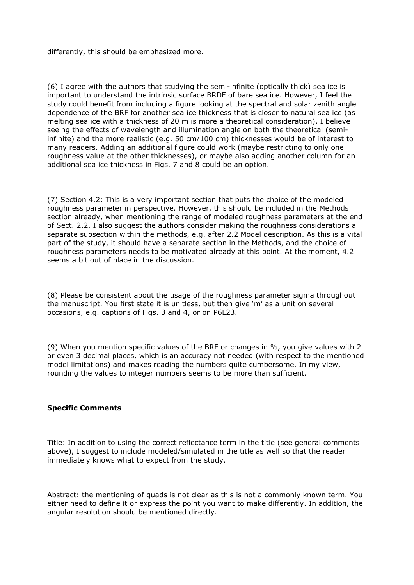differently, this should be emphasized more.

(6) I agree with the authors that studying the semi-infinite (optically thick) sea ice is important to understand the intrinsic surface BRDF of bare sea ice. However, I feel the study could benefit from including a figure looking at the spectral and solar zenith angle dependence of the BRF for another sea ice thickness that is closer to natural sea ice (as melting sea ice with a thickness of 20 m is more a theoretical consideration). I believe seeing the effects of wavelength and illumination angle on both the theoretical (semiinfinite) and the more realistic (e.g. 50 cm/100 cm) thicknesses would be of interest to many readers. Adding an additional figure could work (maybe restricting to only one roughness value at the other thicknesses), or maybe also adding another column for an additional sea ice thickness in Figs. 7 and 8 could be an option.

(7) Section 4.2: This is a very important section that puts the choice of the modeled roughness parameter in perspective. However, this should be included in the Methods section already, when mentioning the range of modeled roughness parameters at the end of Sect. 2.2. I also suggest the authors consider making the roughness considerations a separate subsection within the methods, e.g. after 2.2 Model description. As this is a vital part of the study, it should have a separate section in the Methods, and the choice of roughness parameters needs to be motivated already at this point. At the moment, 4.2 seems a bit out of place in the discussion.

(8) Please be consistent about the usage of the roughness parameter sigma throughout the manuscript. You first state it is unitless, but then give 'm' as a unit on several occasions, e.g. captions of Figs. 3 and 4, or on P6L23.

(9) When you mention specific values of the BRF or changes in %, you give values with 2 or even 3 decimal places, which is an accuracy not needed (with respect to the mentioned model limitations) and makes reading the numbers quite cumbersome. In my view, rounding the values to integer numbers seems to be more than sufficient.

## **Specific Comments**

Title: In addition to using the correct reflectance term in the title (see general comments above), I suggest to include modeled/simulated in the title as well so that the reader immediately knows what to expect from the study.

Abstract: the mentioning of quads is not clear as this is not a commonly known term. You either need to define it or express the point you want to make differently. In addition, the angular resolution should be mentioned directly.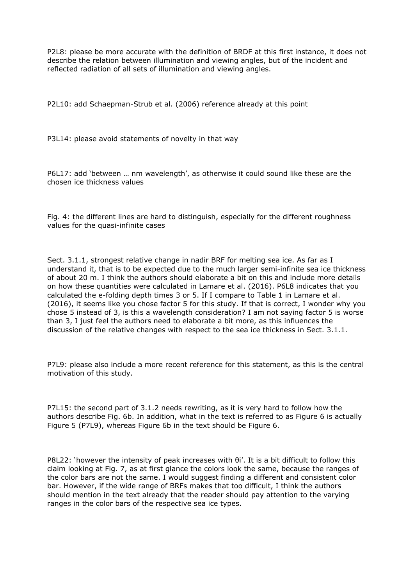P2L8: please be more accurate with the definition of BRDF at this first instance, it does not describe the relation between illumination and viewing angles, but of the incident and reflected radiation of all sets of illumination and viewing angles.

P2L10: add Schaepman-Strub et al. (2006) reference already at this point

P3L14: please avoid statements of novelty in that way

P6L17: add 'between … nm wavelength', as otherwise it could sound like these are the chosen ice thickness values

Fig. 4: the different lines are hard to distinguish, especially for the different roughness values for the quasi-infinite cases

Sect. 3.1.1, strongest relative change in nadir BRF for melting sea ice. As far as I understand it, that is to be expected due to the much larger semi-infinite sea ice thickness of about 20 m. I think the authors should elaborate a bit on this and include more details on how these quantities were calculated in Lamare et al. (2016). P6L8 indicates that you calculated the e-folding depth times 3 or 5. If I compare to Table 1 in Lamare et al. (2016), it seems like you chose factor 5 for this study. If that is correct, I wonder why you chose 5 instead of 3, is this a wavelength consideration? I am not saying factor 5 is worse than 3, I just feel the authors need to elaborate a bit more, as this influences the discussion of the relative changes with respect to the sea ice thickness in Sect. 3.1.1.

P7L9: please also include a more recent reference for this statement, as this is the central motivation of this study.

P7L15: the second part of 3.1.2 needs rewriting, as it is very hard to follow how the authors describe Fig. 6b. In addition, what in the text is referred to as Figure 6 is actually Figure 5 (P7L9), whereas Figure 6b in the text should be Figure 6.

P8L22: 'however the intensity of peak increases with θi'. It is a bit difficult to follow this claim looking at Fig. 7, as at first glance the colors look the same, because the ranges of the color bars are not the same. I would suggest finding a different and consistent color bar. However, if the wide range of BRFs makes that too difficult, I think the authors should mention in the text already that the reader should pay attention to the varying ranges in the color bars of the respective sea ice types.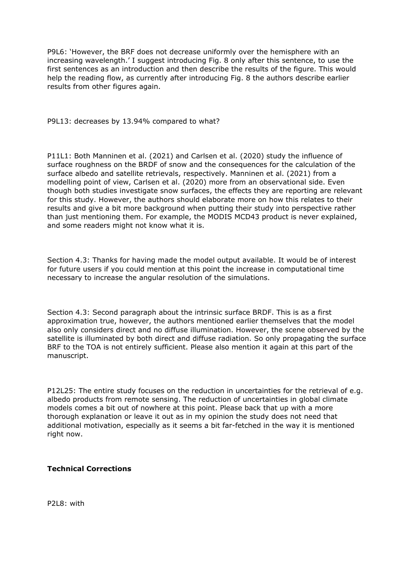P9L6: 'However, the BRF does not decrease uniformly over the hemisphere with an increasing wavelength.' I suggest introducing Fig. 8 only after this sentence, to use the first sentences as an introduction and then describe the results of the figure. This would help the reading flow, as currently after introducing Fig. 8 the authors describe earlier results from other figures again.

P9L13: decreases by 13.94% compared to what?

P11L1: Both Manninen et al. (2021) and Carlsen et al. (2020) study the influence of surface roughness on the BRDF of snow and the consequences for the calculation of the surface albedo and satellite retrievals, respectively. Manninen et al. (2021) from a modelling point of view, Carlsen et al. (2020) more from an observational side. Even though both studies investigate snow surfaces, the effects they are reporting are relevant for this study. However, the authors should elaborate more on how this relates to their results and give a bit more background when putting their study into perspective rather than just mentioning them. For example, the MODIS MCD43 product is never explained, and some readers might not know what it is.

Section 4.3: Thanks for having made the model output available. It would be of interest for future users if you could mention at this point the increase in computational time necessary to increase the angular resolution of the simulations.

Section 4.3: Second paragraph about the intrinsic surface BRDF. This is as a first approximation true, however, the authors mentioned earlier themselves that the model also only considers direct and no diffuse illumination. However, the scene observed by the satellite is illuminated by both direct and diffuse radiation. So only propagating the surface BRF to the TOA is not entirely sufficient. Please also mention it again at this part of the manuscript.

P12L25: The entire study focuses on the reduction in uncertainties for the retrieval of e.g. albedo products from remote sensing. The reduction of uncertainties in global climate models comes a bit out of nowhere at this point. Please back that up with a more thorough explanation or leave it out as in my opinion the study does not need that additional motivation, especially as it seems a bit far-fetched in the way it is mentioned right now.

## **Technical Corrections**

P2L8: with